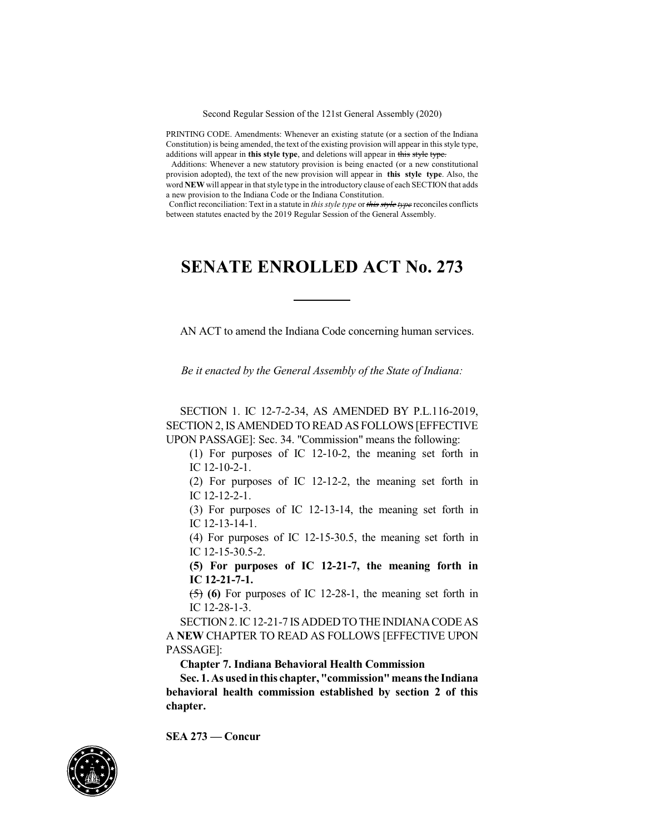Second Regular Session of the 121st General Assembly (2020)

PRINTING CODE. Amendments: Whenever an existing statute (or a section of the Indiana Constitution) is being amended, the text of the existing provision will appear in this style type, additions will appear in **this style type**, and deletions will appear in this style type.

Additions: Whenever a new statutory provision is being enacted (or a new constitutional provision adopted), the text of the new provision will appear in **this style type**. Also, the word **NEW** will appear in that style type in the introductory clause of each SECTION that adds a new provision to the Indiana Code or the Indiana Constitution.

Conflict reconciliation: Text in a statute in *this style type* or *this style type* reconciles conflicts between statutes enacted by the 2019 Regular Session of the General Assembly.

## **SENATE ENROLLED ACT No. 273**

AN ACT to amend the Indiana Code concerning human services.

*Be it enacted by the General Assembly of the State of Indiana:*

SECTION 1. IC 12-7-2-34, AS AMENDED BY P.L.116-2019, SECTION 2,IS AMENDED TO READ AS FOLLOWS [EFFECTIVE UPON PASSAGE]: Sec. 34. "Commission" means the following:

(1) For purposes of IC 12-10-2, the meaning set forth in IC 12-10-2-1.

(2) For purposes of IC 12-12-2, the meaning set forth in IC 12-12-2-1.

(3) For purposes of IC 12-13-14, the meaning set forth in IC 12-13-14-1.

(4) For purposes of IC 12-15-30.5, the meaning set forth in IC 12-15-30.5-2.

**(5) For purposes of IC 12-21-7, the meaning forth in IC 12-21-7-1.**

(5) **(6)** For purposes of IC 12-28-1, the meaning set forth in IC 12-28-1-3.

SECTION 2. IC 12-21-7 IS ADDED TO THE INDIANA CODE AS A **NEW** CHAPTER TO READ AS FOLLOWS [EFFECTIVE UPON PASSAGE]:

**Chapter 7. Indiana Behavioral Health Commission**

**Sec. 1.As usedinthis chapter,"commission"means the Indiana behavioral health commission established by section 2 of this chapter.**

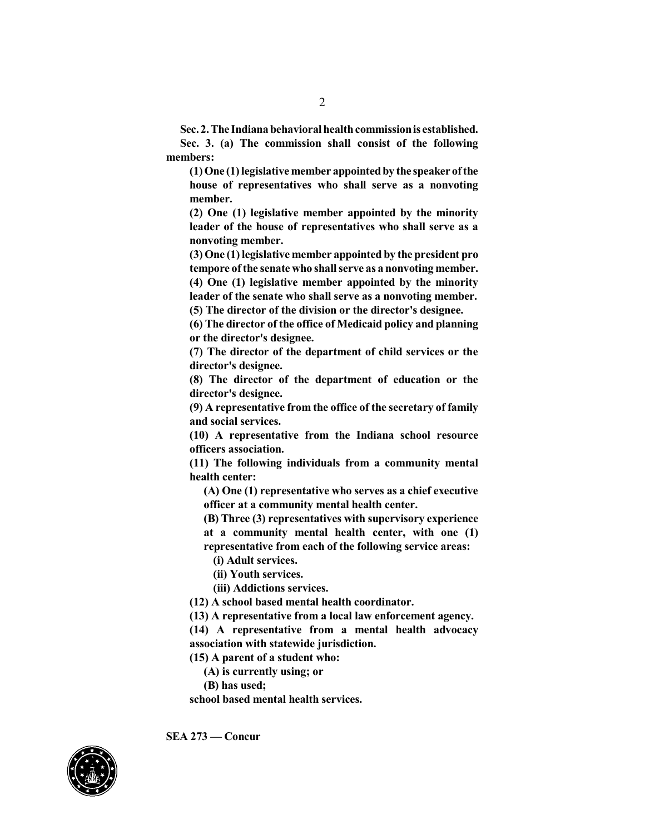**Sec. 2. The Indiana behavioral health commission is established.** 

**Sec. 3. (a) The commission shall consist of the following members:**

**(1) One (1) legislative member appointedby the speaker ofthe house of representatives who shall serve as a nonvoting member.**

**(2) One (1) legislative member appointed by the minority leader of the house of representatives who shall serve as a nonvoting member.**

**(3) One (1) legislative member appointed by the president pro tempore ofthe senate who shall serve as a nonvoting member.**

**(4) One (1) legislative member appointed by the minority leader of the senate who shall serve as a nonvoting member. (5) The director of the division or the director's designee.**

**(6) The director of the office of Medicaid policy and planning or the director's designee.**

**(7) The director of the department of child services or the director's designee.**

**(8) The director of the department of education or the director's designee.**

**(9) A representative from the office of the secretary of family and social services.**

**(10) A representative from the Indiana school resource officers association.**

**(11) The following individuals from a community mental health center:**

**(A) One (1) representative who serves as a chief executive officer at a community mental health center.**

**(B) Three (3) representatives with supervisory experience at a community mental health center, with one (1) representative from each of the following service areas:**

**(i) Adult services.**

**(ii) Youth services.**

**(iii) Addictions services.**

**(12) A school based mental health coordinator.**

**(13) A representative from a local law enforcement agency.**

**(14) A representative from a mental health advocacy association with statewide jurisdiction.**

**(15) A parent of a student who:**

**(A) is currently using; or**

**(B) has used;**

**school based mental health services.**

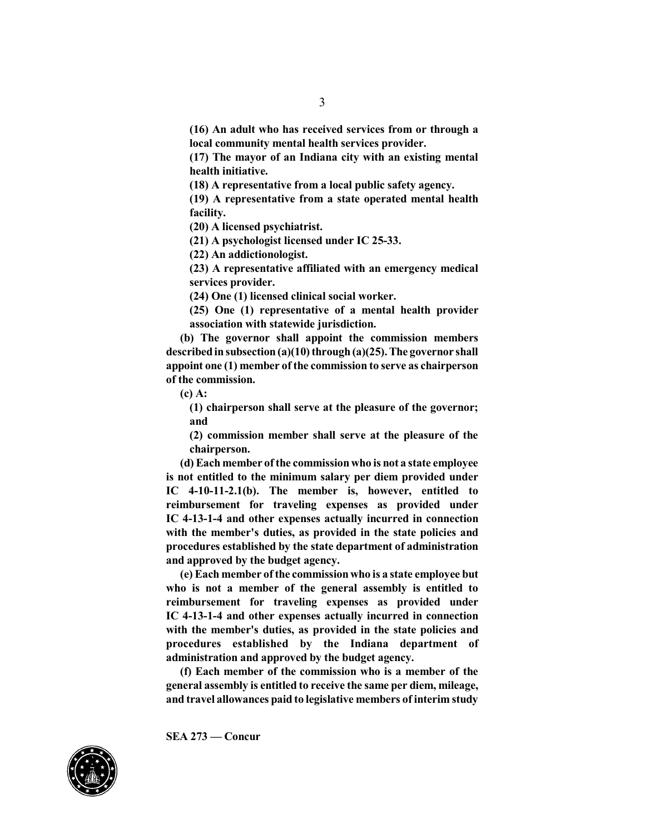**(16) An adult who has received services from or through a local community mental health services provider.**

**(17) The mayor of an Indiana city with an existing mental health initiative.**

**(18) A representative from a local public safety agency.**

**(19) A representative from a state operated mental health facility.**

**(20) A licensed psychiatrist.**

**(21) A psychologist licensed under IC 25-33.**

**(22) An addictionologist.**

**(23) A representative affiliated with an emergency medical services provider.**

**(24) One (1) licensed clinical social worker.**

**(25) One (1) representative of a mental health provider association with statewide jurisdiction.**

**(b) The governor shall appoint the commission members describedinsubsection (a)(10) through(a)(25).The governor shall appoint one (1) member of the commission to serve as chairperson of the commission.**

**(c) A:**

**(1) chairperson shall serve at the pleasure of the governor; and**

**(2) commission member shall serve at the pleasure of the chairperson.**

**(d) Each member ofthe commission who is not a state employee is not entitled to the minimum salary per diem provided under IC 4-10-11-2.1(b). The member is, however, entitled to reimbursement for traveling expenses as provided under IC 4-13-1-4 and other expenses actually incurred in connection with the member's duties, as provided in the state policies and procedures established by the state department of administration and approved by the budget agency.**

**(e) Each member ofthe commissionwho is a state employee but who is not a member of the general assembly is entitled to reimbursement for traveling expenses as provided under IC 4-13-1-4 and other expenses actually incurred in connection with the member's duties, as provided in the state policies and procedures established by the Indiana department of administration and approved by the budget agency.**

**(f) Each member of the commission who is a member of the general assembly is entitled to receive the same per diem, mileage, and travel allowances paid to legislative members of interim study**

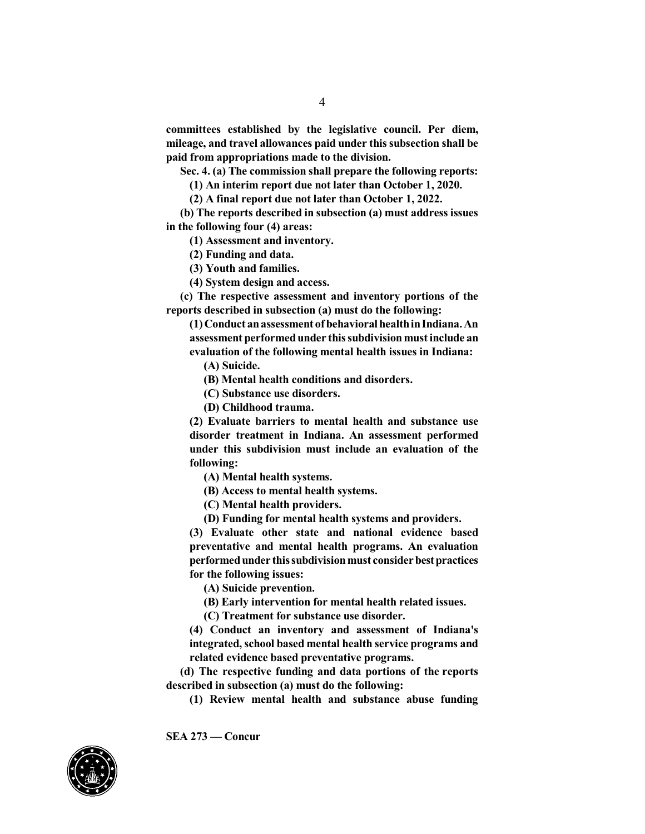**committees established by the legislative council. Per diem, mileage, and travel allowances paid under thissubsection shall be paid from appropriations made to the division.**

**Sec. 4. (a) The commission shall prepare the following reports:**

**(1) An interim report due not later than October 1, 2020.**

**(2) A final report due not later than October 1, 2022.**

**(b) The reports described in subsection (a) must address issues in the following four (4) areas:**

**(1) Assessment and inventory.**

**(2) Funding and data.**

**(3) Youth and families.**

**(4) System design and access.**

**(c) The respective assessment and inventory portions of the reports described in subsection (a) must do the following:**

**(1) Conduct anassessment ofbehavioral healthinIndiana.An assessment performedunder thissubdivision mustinclude an evaluation of the following mental health issues in Indiana:**

**(A) Suicide.**

**(B) Mental health conditions and disorders.**

**(C) Substance use disorders.**

**(D) Childhood trauma.**

**(2) Evaluate barriers to mental health and substance use disorder treatment in Indiana. An assessment performed under this subdivision must include an evaluation of the following:**

**(A) Mental health systems.**

**(B) Access to mental health systems.**

**(C) Mental health providers.**

**(D) Funding for mental health systems and providers.**

**(3) Evaluate other state and national evidence based preventative and mental health programs. An evaluation performedunder thissubdivisionmust considerbestpractices for the following issues:**

**(A) Suicide prevention.**

**(B) Early intervention for mental health related issues.**

**(C) Treatment for substance use disorder.**

**(4) Conduct an inventory and assessment of Indiana's integrated,school based mental health service programs and related evidence based preventative programs.**

**(d) The respective funding and data portions of the reports described in subsection (a) must do the following:**

**(1) Review mental health and substance abuse funding**

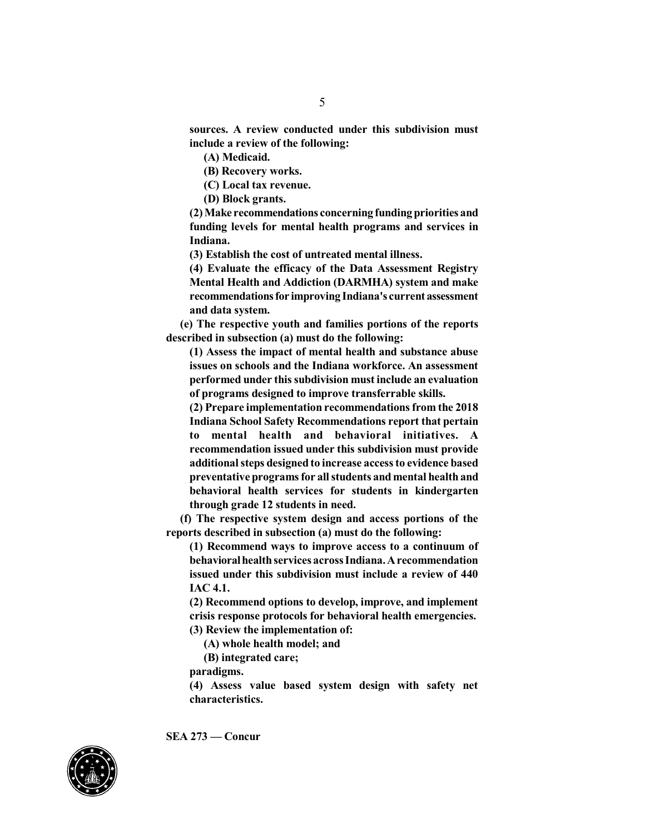**sources. A review conducted under this subdivision must include a review of the following:**

**(A) Medicaid.**

**(B) Recovery works.**

**(C) Local tax revenue.**

**(D) Block grants.**

**(2) Make recommendations concerning funding priorities and funding levels for mental health programs and services in Indiana.**

**(3) Establish the cost of untreated mental illness.**

**(4) Evaluate the efficacy of the Data Assessment Registry Mental Health and Addiction (DARMHA) system and make recommendationsfor improving Indiana's current assessment and data system.**

**(e) The respective youth and families portions of the reports described in subsection (a) must do the following:**

**(1) Assess the impact of mental health and substance abuse issues on schools and the Indiana workforce. An assessment performed under thissubdivision must include an evaluation of programs designed to improve transferrable skills.**

**(2) Prepare implementation recommendations from the 2018 Indiana School Safety Recommendations report that pertain to mental health and behavioral initiatives. A recommendation issued under this subdivision must provide additionalsteps designed to increase accessto evidence based preventative programs for all students and mental health and behavioral health services for students in kindergarten through grade 12 students in need.**

**(f) The respective system design and access portions of the reports described in subsection (a) must do the following:**

**(1) Recommend ways to improve access to a continuum of behavioralhealthservices acrossIndiana.Arecommendation issued under this subdivision must include a review of 440 IAC 4.1.**

**(2) Recommend options to develop, improve, and implement crisis response protocols for behavioral health emergencies.**

**(3) Review the implementation of:**

**(A) whole health model; and**

**(B) integrated care;**

**paradigms.**

**(4) Assess value based system design with safety net characteristics.**

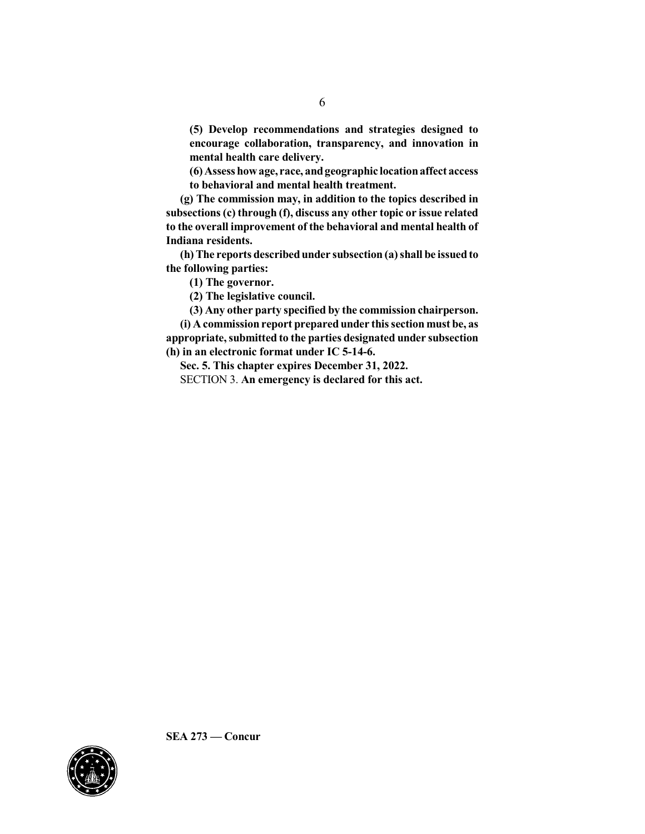**(5) Develop recommendations and strategies designed to encourage collaboration, transparency, and innovation in mental health care delivery.**

**(6) Assess howage, race, andgeographic locationaffect access to behavioral and mental health treatment.**

**(g) The commission may, in addition to the topics described in subsections (c) through (f), discuss any other topic or issue related to the overall improvement of the behavioral and mental health of Indiana residents.**

**(h) The reports describedunder subsection (a) shall be issuedto the following parties:**

**(1) The governor.**

**(2) The legislative council.**

**(3) Any other party specified by the commission chairperson.**

**(i) A commission report prepared under thissection must be, as appropriate,submitted to the parties designated under subsection (h) in an electronic format under IC 5-14-6.**

**Sec. 5. This chapter expires December 31, 2022.** SECTION 3. **An emergency is declared for this act.**